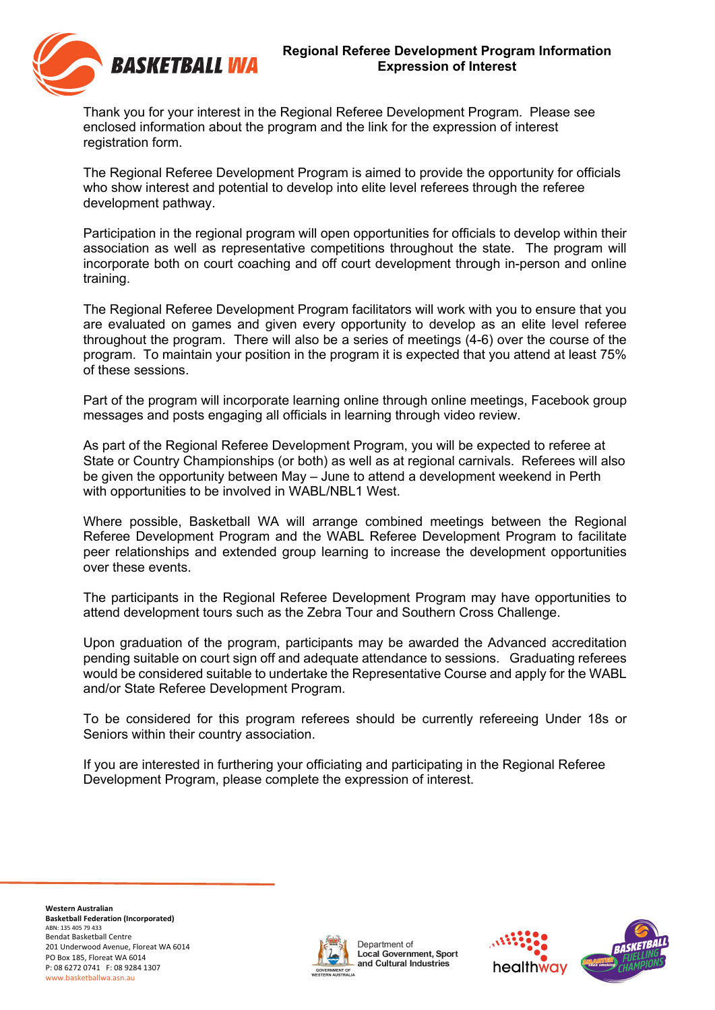

Thank you for your interest in the Regional Referee Development Program. Please see enclosed information about the program and the link for the expression of interest registration form.

The Regional Referee Development Program is aimed to provide the opportunity for officials who show interest and potential to develop into elite level referees through the referee development pathway.

Participation in the regional program will open opportunities for officials to develop within their association as well as representative competitions throughout the state. The program will incorporate both on court coaching and off court development through in-person and online training.

The Regional Referee Development Program facilitators will work with you to ensure that you are evaluated on games and given every opportunity to develop as an elite level referee throughout the program. There will also be a series of meetings (4-6) over the course of the program. To maintain your position in the program it is expected that you attend at least 75% of these sessions.

Part of the program will incorporate learning online through online meetings, Facebook group messages and posts engaging all officials in learning through video review.

As part of the Regional Referee Development Program, you will be expected to referee at State or Country Championships (or both) as well as at regional carnivals. Referees will also be given the opportunity between May – June to attend a development weekend in Perth with opportunities to be involved in WABL/NBL1 West.

Where possible, Basketball WA will arrange combined meetings between the Regional Referee Development Program and the WABL Referee Development Program to facilitate peer relationships and extended group learning to increase the development opportunities over these events.

The participants in the Regional Referee Development Program may have opportunities to attend development tours such as the Zebra Tour and Southern Cross Challenge.

Upon graduation of the program, participants may be awarded the Advanced accreditation pending suitable on court sign off and adequate attendance to sessions. Graduating referees would be considered suitable to undertake the Representative Course and apply for the WABL and/or State Referee Development Program.

To be considered for this program referees should be currently refereeing Under 18s or Seniors within their country association.

If you are interested in furthering your officiating and participating in the Regional Referee Development Program, please complete the expression of interest.



Department of Local Government, Sport and Cultural Industries



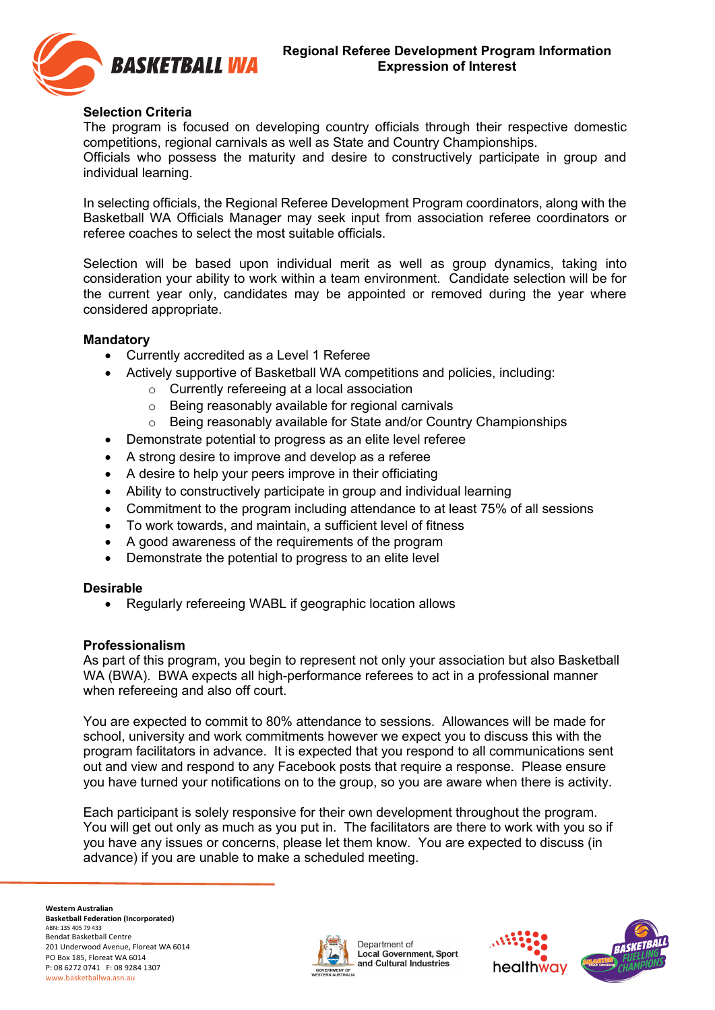

## **Selection Criteria**

The program is focused on developing country officials through their respective domestic competitions, regional carnivals as well as State and Country Championships.

Officials who possess the maturity and desire to constructively participate in group and individual learning.

In selecting officials, the Regional Referee Development Program coordinators, along with the Basketball WA Officials Manager may seek input from association referee coordinators or referee coaches to select the most suitable officials.

Selection will be based upon individual merit as well as group dynamics, taking into consideration your ability to work within a team environment. Candidate selection will be for the current year only, candidates may be appointed or removed during the year where considered appropriate.

## **Mandatory**

- Currently accredited as a Level 1 Referee
- Actively supportive of Basketball WA competitions and policies, including:
	- o Currently refereeing at a local association
	- o Being reasonably available for regional carnivals
	- o Being reasonably available for State and/or Country Championships
- Demonstrate potential to progress as an elite level referee
- A strong desire to improve and develop as a referee
- A desire to help your peers improve in their officiating
- Ability to constructively participate in group and individual learning
- Commitment to the program including attendance to at least 75% of all sessions
- To work towards, and maintain, a sufficient level of fitness
- A good awareness of the requirements of the program
- Demonstrate the potential to progress to an elite level

## **Desirable**

• Regularly refereeing WABL if geographic location allows

## **Professionalism**

As part of this program, you begin to represent not only your association but also Basketball WA (BWA). BWA expects all high-performance referees to act in a professional manner when refereeing and also off court.

You are expected to commit to 80% attendance to sessions. Allowances will be made for school, university and work commitments however we expect you to discuss this with the program facilitators in advance. It is expected that you respond to all communications sent out and view and respond to any Facebook posts that require a response. Please ensure you have turned your notifications on to the group, so you are aware when there is activity.

Each participant is solely responsive for their own development throughout the program. You will get out only as much as you put in. The facilitators are there to work with you so if you have any issues or concerns, please let them know. You are expected to discuss (in advance) if you are unable to make a scheduled meeting.



Department of Local Government, Sport and Cultural Industries



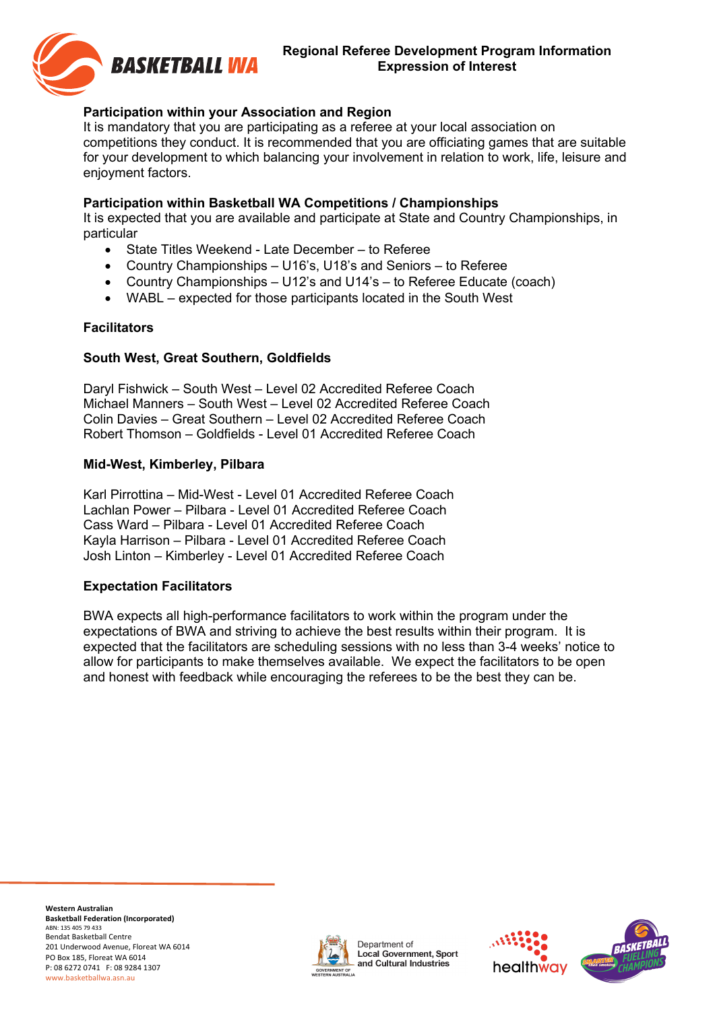

## **Regional Referee Development Program Information Expression of Interest**

# **Participation within your Association and Region**

It is mandatory that you are participating as a referee at your local association on competitions they conduct. It is recommended that you are officiating games that are suitable for your development to which balancing your involvement in relation to work, life, leisure and enjoyment factors.

## **Participation within Basketball WA Competitions / Championships**

It is expected that you are available and participate at State and Country Championships, in particular

- State Titles Weekend Late December to Referee
- Country Championships U16's, U18's and Seniors to Referee
- Country Championships U12's and U14's to Referee Educate (coach)
- WABL expected for those participants located in the South West

#### **Facilitators**

## **South West, Great Southern, Goldfields**

Daryl Fishwick – South West – Level 02 Accredited Referee Coach Michael Manners – South West – Level 02 Accredited Referee Coach Colin Davies – Great Southern – Level 02 Accredited Referee Coach Robert Thomson – Goldfields - Level 01 Accredited Referee Coach

#### **Mid-West, Kimberley, Pilbara**

Karl Pirrottina – Mid-West - Level 01 Accredited Referee Coach Lachlan Power – Pilbara - Level 01 Accredited Referee Coach Cass Ward – Pilbara - Level 01 Accredited Referee Coach Kayla Harrison – Pilbara - Level 01 Accredited Referee Coach Josh Linton – Kimberley - Level 01 Accredited Referee Coach

## **Expectation Facilitators**

BWA expects all high-performance facilitators to work within the program under the expectations of BWA and striving to achieve the best results within their program. It is expected that the facilitators are scheduling sessions with no less than 3-4 weeks' notice to allow for participants to make themselves available. We expect the facilitators to be open and honest with feedback while encouraging the referees to be the best they can be.

 **Western Australian Basketball Federation (Incorporated)** ABN: 135 405 79 433 Bendat Basketball Centre 201 Underwood Avenue, Floreat WA 6014 PO Box 185, Floreat WA 6014 P: 08 6272 0741 F: 08 9284 1307 www.basketballwa.asn.au



Department of Local Government, Sport and Cultural Industries